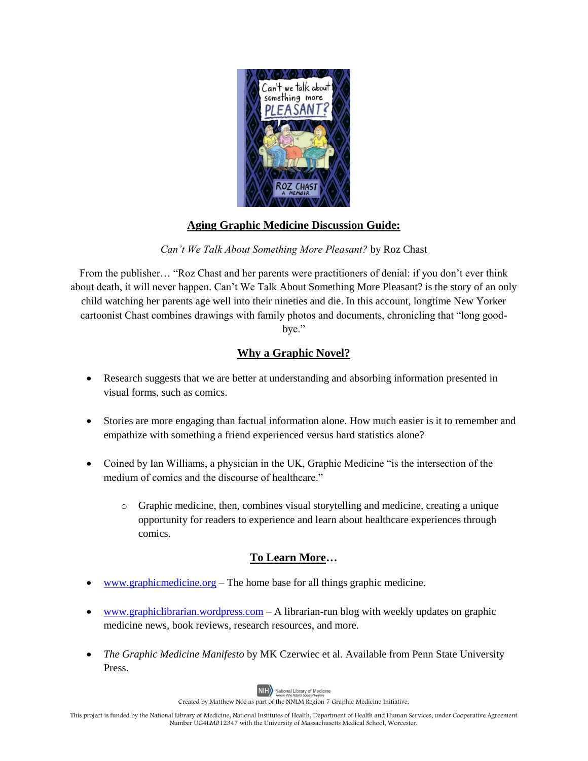

## **Aging Graphic Medicine Discussion Guide:**

*Can't We Talk About Something More Pleasant?* by Roz Chast

From the publisher… "Roz Chast and her parents were practitioners of denial: if you don't ever think about death, it will never happen. Can't We Talk About Something More Pleasant? is the story of an only child watching her parents age well into their nineties and die. In this account, longtime New Yorker cartoonist Chast combines drawings with family photos and documents, chronicling that "long goodbye."

## **Why a Graphic Novel?**

- Research suggests that we are better at understanding and absorbing information presented in visual forms, such as comics.
- Stories are more engaging than factual information alone. How much easier is it to remember and empathize with something a friend experienced versus hard statistics alone?
- Coined by Ian Williams, a physician in the UK, Graphic Medicine "is the intersection of the medium of comics and the discourse of healthcare."
	- $\circ$  Graphic medicine, then, combines visual storytelling and medicine, creating a unique opportunity for readers to experience and learn about healthcare experiences through comics.

## **To Learn More…**

- [www.graphicmedicine.org](http://www.graphicmedicine.org/) The home base for all things graphic medicine.
- [www.graphiclibrarian.wordpress.com](http://www.graphiclibrarian.wordpress.com/) A librarian-run blog with weekly updates on graphic medicine news, book reviews, research resources, and more.
- *The Graphic Medicine Manifesto* by MK Czerwiec et al. Available from Penn State University Press.



Created by Matthew Noe as part of the NNLM Region 7 Graphic Medicine Initiative.

This project is funded by the National Library of Medicine, National Institutes of Health, Department of Health and Human Services, under Cooperative Agreement Number UG4LM012347 with the University of Massachusetts Medical School, Worcester.